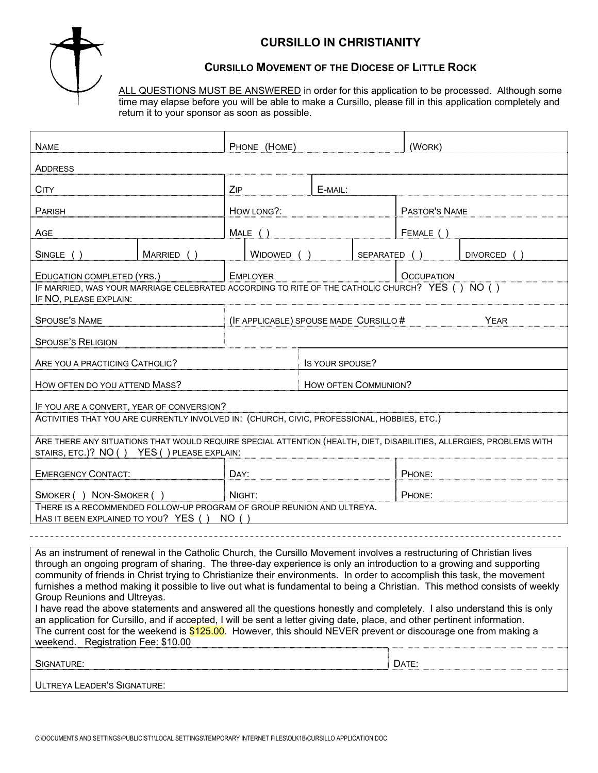

# **CURSILLO IN CHRISTIANITY**

### **CURSILLO MOVEMENT OF THE DIOCESE OF LITTLE ROCK**

ALL QUESTIONS MUST BE ANSWERED in order for this application to be processed. Although some time may elapse before you will be able to make a Cursillo, please fill in this application completely and return it to your sponsor as soon as possible.

| <b>NAME</b>                                                                                                                                                                                                                                            |            | PHONE (HOME)                           |                      |  |                   | (WORK)        |                 |  |
|--------------------------------------------------------------------------------------------------------------------------------------------------------------------------------------------------------------------------------------------------------|------------|----------------------------------------|----------------------|--|-------------------|---------------|-----------------|--|
| ADDRESS                                                                                                                                                                                                                                                |            |                                        |                      |  |                   |               |                 |  |
| CITY                                                                                                                                                                                                                                                   |            | ZIP                                    | E-MAIL:              |  |                   |               |                 |  |
| PARISH                                                                                                                                                                                                                                                 |            |                                        | HOW LONG?:           |  |                   | PASTOR'S NAME |                 |  |
| AGE                                                                                                                                                                                                                                                    |            |                                        |                      |  | FEMALE ()         |               |                 |  |
|                                                                                                                                                                                                                                                        |            |                                        | $MALE$ ()            |  |                   |               |                 |  |
| SINGLE ()                                                                                                                                                                                                                                              | MARRIED () |                                        | WIDOWED              |  | SEPARATED ()      |               | <b>DIVORCED</b> |  |
| EDUCATION COMPLETED (YRS.)                                                                                                                                                                                                                             |            |                                        | <b>EMPLOYER</b>      |  | <b>OCCUPATION</b> |               |                 |  |
| IF MARRIED, WAS YOUR MARRIAGE CELEBRATED ACCORDING TO RITE OF THE CATHOLIC CHURCH? YES () NO ()<br>IF NO, PLEASE EXPLAIN:                                                                                                                              |            |                                        |                      |  |                   |               |                 |  |
| <b>SPOUSE'S NAME</b>                                                                                                                                                                                                                                   |            | (IF APPLICABLE) SPOUSE MADE CURSILLO # |                      |  |                   | <b>YEAR</b>   |                 |  |
| <b>SPOUSE'S RELIGION</b>                                                                                                                                                                                                                               |            |                                        |                      |  |                   |               |                 |  |
|                                                                                                                                                                                                                                                        |            |                                        |                      |  |                   |               |                 |  |
| ARE YOU A PRACTICING CATHOLIC?                                                                                                                                                                                                                         |            |                                        | IS YOUR SPOUSE?      |  |                   |               |                 |  |
| HOW OFTEN DO YOU ATTEND MASS?                                                                                                                                                                                                                          |            |                                        | HOW OFTEN COMMUNION? |  |                   |               |                 |  |
| IF YOU ARE A CONVERT, YEAR OF CONVERSION?                                                                                                                                                                                                              |            |                                        |                      |  |                   |               |                 |  |
| ACTIVITIES THAT YOU ARE CURRENTLY INVOLVED IN: (CHURCH, CIVIC, PROFESSIONAL, HOBBIES, ETC.)                                                                                                                                                            |            |                                        |                      |  |                   |               |                 |  |
| ARE THERE ANY SITUATIONS THAT WOULD REQUIRE SPECIAL ATTENTION (HEALTH, DIET, DISABILITIES, ALLERGIES, PROBLEMS WITH<br>STAIRS, ETC.)? NO () YES () PLEASE EXPLAIN:                                                                                     |            |                                        |                      |  |                   |               |                 |  |
|                                                                                                                                                                                                                                                        |            |                                        |                      |  |                   |               |                 |  |
| <b>EMERGENCY CONTACT:</b>                                                                                                                                                                                                                              |            | DAY:                                   |                      |  |                   | PHONE:        |                 |  |
| SMOKER () NON-SMOKER ()                                                                                                                                                                                                                                |            | NIGHT:                                 |                      |  |                   | PHONE:        |                 |  |
| THERE IS A RECOMMENDED FOLLOW-UP PROGRAM OF GROUP REUNION AND ULTREYA.<br>HAS IT BEEN EXPLAINED TO YOU? YES () NO ()                                                                                                                                   |            |                                        |                      |  |                   |               |                 |  |
|                                                                                                                                                                                                                                                        |            |                                        |                      |  |                   |               |                 |  |
| As an instrument of renewal in the Catholic Church, the Cursillo Movement involves a restructuring of Christian lives                                                                                                                                  |            |                                        |                      |  |                   |               |                 |  |
| through an ongoing program of sharing. The three-day experience is only an introduction to a growing and supporting                                                                                                                                    |            |                                        |                      |  |                   |               |                 |  |
| community of friends in Christ trying to Christianize their environments. In order to accomplish this task, the movement<br>furnishes a method making it possible to live out what is fundamental to being a Christian. This method consists of weekly |            |                                        |                      |  |                   |               |                 |  |
| Group Reunions and Ultreyas.                                                                                                                                                                                                                           |            |                                        |                      |  |                   |               |                 |  |
| I have read the above statements and answered all the questions honestly and completely. I also understand this is only                                                                                                                                |            |                                        |                      |  |                   |               |                 |  |
| an application for Cursillo, and if accepted, I will be sent a letter giving date, place, and other pertinent information.<br>The current cost for the weekend is \$125.00. However, this should NEVER prevent or discourage one from making a         |            |                                        |                      |  |                   |               |                 |  |
|                                                                                                                                                                                                                                                        |            |                                        |                      |  |                   |               |                 |  |

| Registration Fee: \$10.00<br>weekend. |       |
|---------------------------------------|-------|
| SIGNATURE:                            | DATE: |
| <b>ULTREYA LEADER'S SIGNATURE:</b>    |       |